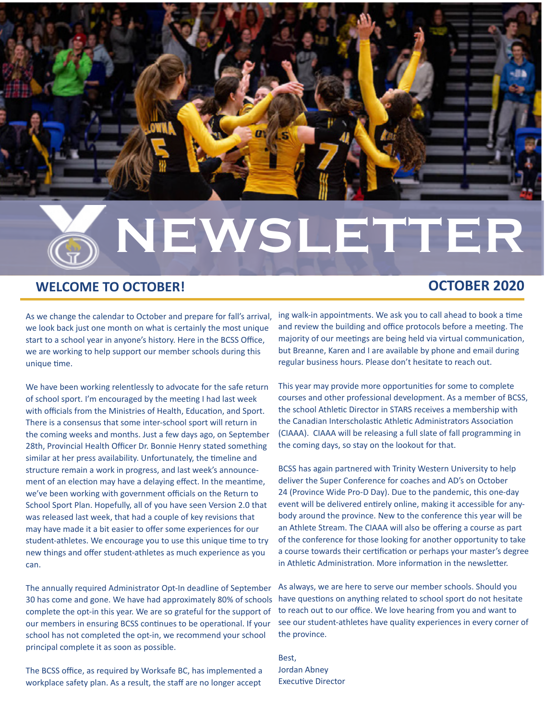

#### **WELCOME TO OCTOBER!**

#### **OCTOBER 2020**

As we change the calendar to October and prepare for fall's arrival, we look back just one month on what is certainly the most unique start to a school year in anyone's history. Here in the BCSS Office, we are working to help support our member schools during this unique time.

We have been working relentlessly to advocate for the safe return of school sport. I'm encouraged by the meeting I had last week with officials from the Ministries of Health, Education, and Sport. There is a consensus that some inter-school sport will return in the coming weeks and months. Just a few days ago, on September 28th, Provincial Health Officer Dr. Bonnie Henry stated something similar at her press availability. Unfortunately, the timeline and structure remain a work in progress, and last week's announcement of an election may have a delaying effect. In the meantime, we've been working with government officials on the Return to School Sport Plan. Hopefully, all of you have seen Version 2.0 that was released last week, that had a couple of key revisions that may have made it a bit easier to offer some experiences for our student-athletes. We encourage you to use this unique time to try new things and offer student-athletes as much experience as you can.

The annually required Administrator Opt-In deadline of September 30 has come and gone. We have had approximately 80% of schools complete the opt-in this year. We are so grateful for the support of our members in ensuring BCSS continues to be operational. If your school has not completed the opt-in, we recommend your school principal complete it as soon as possible.

The BCSS office, as required by Worksafe BC, has implemented a workplace safety plan. As a result, the staff are no longer accept ing walk-in appointments. We ask you to call ahead to book a time and review the building and office protocols before a meeting. The majority of our meetings are being held via virtual communication, but Breanne, Karen and I are available by phone and email during regular business hours. Please don't hesitate to reach out.

This year may provide more opportunities for some to complete courses and other professional development. As a member of BCSS, the school Athletic Director in STARS receives a membership with the Canadian Interscholastic Athletic Administrators Association (CIAAA). CIAAA will be releasing a full slate of fall programming in the coming days, so stay on the lookout for that.

BCSS has again partnered with Trinity Western University to help deliver the Super Conference for coaches and AD's on October 24 (Province Wide Pro-D Day). Due to the pandemic, this one-day event will be delivered entirely online, making it accessible for anybody around the province. New to the conference this year will be an Athlete Stream. The CIAAA will also be offering a course as part of the conference for those looking for another opportunity to take a course towards their certification or perhaps your master's degree in Athletic Administration. More information in the newsletter.

As always, we are here to serve our member schools. Should you have questions on anything related to school sport do not hesitate to reach out to our office. We love hearing from you and want to see our student-athletes have quality experiences in every corner of the province.

Best, Jordan Abney Executive Director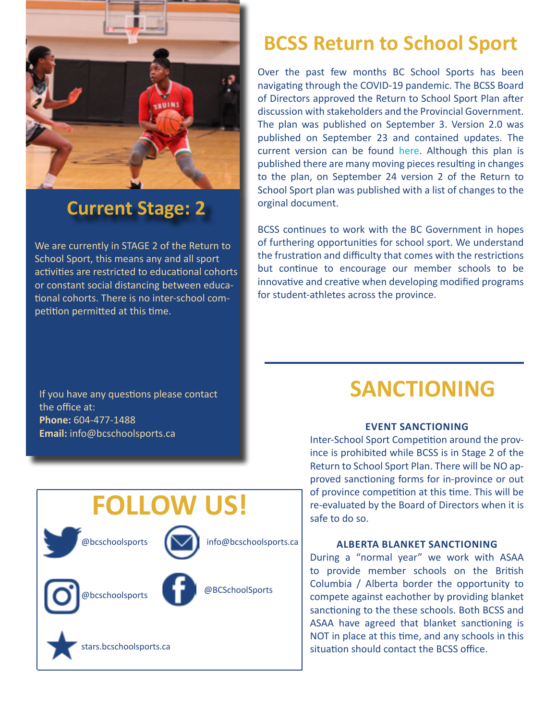

## **Current Stage: 2**

We are currently in STAGE 2 of the Return to School Sport, this means any and all sport activities are restricted to educational cohorts or constant social distancing between educational cohorts. There is no inter-school competition permitted at this time.

## **BCSS Return to School Sport**

Over the past few months BC School Sports has been navigating through the COVID-19 pandemic. The BCSS Board of Directors approved the Return to School Sport Plan after discussion with stakeholders and the Provincial Government. The plan was published on September 3. Version 2.0 was published on September 23 and contained updates. The current version can be found [here.](https://www.bcschoolsports.ca/news/bcss-return-school-sport-plan-version-20) Although this plan is published there are many moving pieces resulting in changes to the plan, on September 24 version 2 of the Return to School Sport plan was published with a list of changes to the orginal document.

BCSS continues to work with the BC Government in hopes of furthering opportunities for school sport. We understand the frustration and difficulty that comes with the restrictions but continue to encourage our member schools to be innovative and creative when developing modified programs for student-athletes across the province.

If you have any questions please contact the office at: **Phone:** 604-477-1488 **Email:** info@bcschoolsports.ca

**FOLLOW US!**

tars.bcschoolsports.ca

@bcschoolsports

@bcschoolsports

@BCSchoolSports

info@bcschoolsports.ca

## **SANCTIONING**

#### **Event Sanctioning**

Inter-School Sport Competition around the province is prohibited while BCSS is in Stage 2 of the Return to School Sport Plan. There will be NO approved sanctioning forms for in-province or out of province competition at this time. This will be re-evaluated by the Board of Directors when it is safe to do so.

#### **Alberta Blanket Sanctioning**

During a "normal year" we work with ASAA to provide member schools on the British Columbia / Alberta border the opportunity to compete against eachother by providing blanket sanctioning to the these schools. Both BCSS and ASAA have agreed that blanket sanctioning is NOT in place at this time, and any schools in this situation should contact the BCSS office.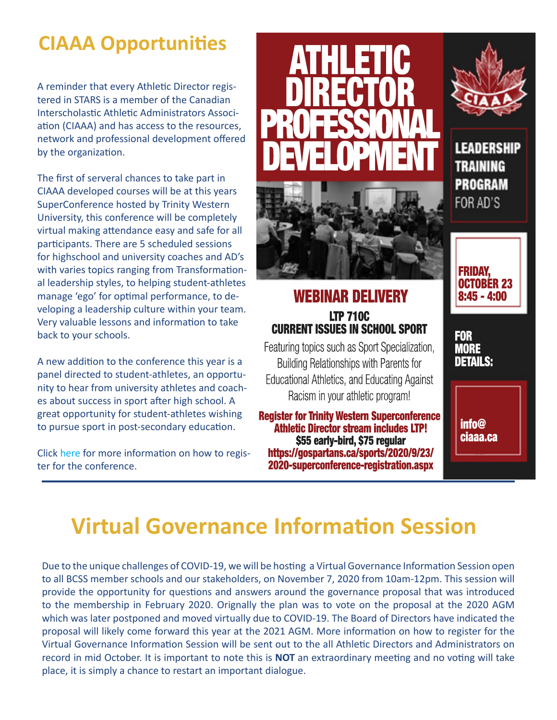## **CIAAA Opportunities**

A reminder that every Athletic Director registered in STARS is a member of the Canadian Interscholastic Athletic Administrators Association (CIAAA) and has access to the resources, network and professional development offered by the organization.

The first of serveral chances to take part in CIAAA developed courses will be at this years SuperConference hosted by Trinity Western University, this conference will be completely virtual making attendance easy and safe for all participants. There are 5 scheduled sessions for highschool and university coaches and AD's with varies topics ranging from Transformational leadership styles, to helping student-athletes manage 'ego' for optimal performance, to developing a leadership culture within your team. Very valuable lessons and information to take back to your schools.

A new addition to the conference this year is a panel directed to student-athletes, an opportunity to hear from university athletes and coaches about success in sport after high school. A great opportunity for student-athletes wishing to pursue sport in post-secondary education.

Click [here](https://s3.amazonaws.com/gospartans.ca/documents/2020/9/23/2020_Superconference_single_page_fix.pdf) for more information on how to register for the conference.



### WEBINAR DELIVERY LTP 710C CURRENT ISSUES IN SCHOOL SPORT

Featuring topics such as Sport Specialization, Building Relationships with Parents for Educational Athletics, and Educating Against Racism in your athletic program!

Register for Trinity Western Superconference Athletic Director stream includes LTP! \$55 early-bird, \$75 regular https://gospartans.ca/sports/2020/9/23/ 2020-superconference-registration.aspx



**LEADERSHIP TRAINING PROGRAM** FOR AD'S



FOR **MORE** DETAILS:

> info@ ciaaa.ca

## **Virtual Governance Information Session**

Due to the unique challenges of COVID-19, we will be hosting a Virtual Governance Information Session open to all BCSS member schools and our stakeholders, on November 7, 2020 from 10am-12pm. This session will provide the opportunity for questions and answers around the governance proposal that was introduced to the membership in February 2020. Orignally the plan was to vote on the proposal at the 2020 AGM which was later postponed and moved virtually due to COVID-19. The Board of Directors have indicated the proposal will likely come forward this year at the 2021 AGM. More information on how to register for the Virtual Governance Information Session will be sent out to the all Athletic Directors and Administrators on record in mid October. It is important to note this is **NOT** an extraordinary meeting and no voting will take place, it is simply a chance to restart an important dialogue.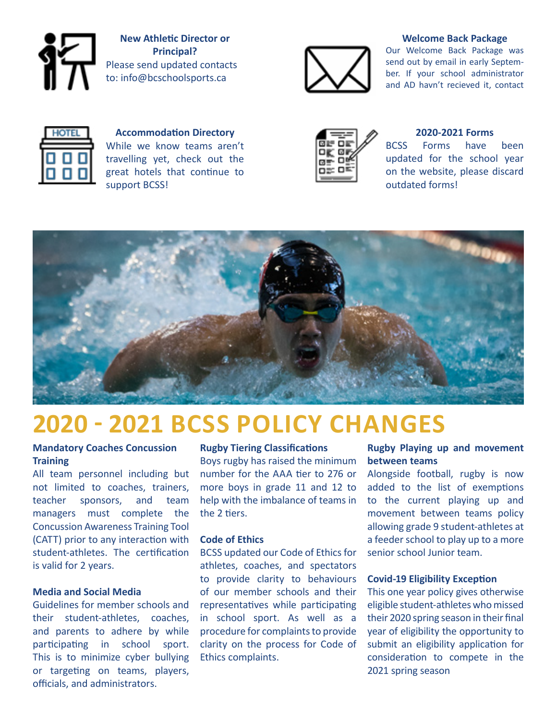

**New Athletic Director or Principal?** Please send updated contacts to: info@bcschoolsports.ca



#### **Welcome Back Package**

Our Welcome Back Package was send out by email in early September. If your school administrator and AD havn't recieved it, contact



**Accommodation Directory** While we know teams aren't travelling yet, check out the great hotels that continue to support BCSS!



#### **2020-2021 Forms**

BCSS Forms have been updated for the school year on the website, please discard outdated forms!



## **2020 - 2021 BCSS Policy Changes**

#### **Mandatory Coaches Concussion Training**

All team personnel including but not limited to coaches, trainers, teacher sponsors, and team managers must complete the Concussion Awareness Training Tool (CATT) prior to any interaction with student-athletes. The certification is valid for 2 years.

#### **Media and Social Media**

Guidelines for member schools and their student-athletes, coaches, and parents to adhere by while participating in school sport. This is to minimize cyber bullying or targeting on teams, players, officials, and administrators.

#### **Rugby Tiering Classifications**

Boys rugby has raised the minimum number for the AAA tier to 276 or more boys in grade 11 and 12 to help with the imbalance of teams in the 2 tiers.

#### **Code of Ethics**

BCSS updated our Code of Ethics for athletes, coaches, and spectators to provide clarity to behaviours of our member schools and their representatives while participating in school sport. As well as a procedure for complaints to provide clarity on the process for Code of Ethics complaints.

#### **Rugby Playing up and movement between teams**

Alongside football, rugby is now added to the list of exemptions to the current playing up and movement between teams policy allowing grade 9 student-athletes at a feeder school to play up to a more senior school Junior team.

#### **Covid-19 Eligibility Exception**

This one year policy gives otherwise eligible student-athletes who missed their 2020 spring season in their final year of eligibility the opportunity to submit an eligibility application for consideration to compete in the 2021 spring season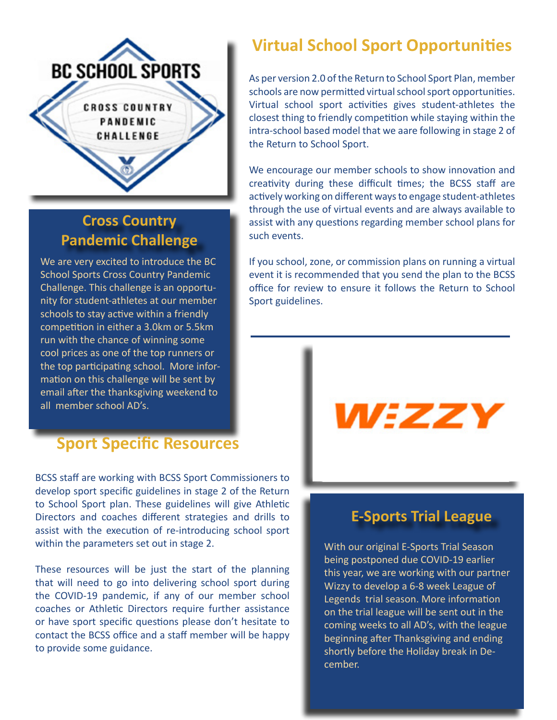

## **Cross Country Pandemic Challenge**

We are very excited to introduce the BC School Sports Cross Country Pandemic Challenge. This challenge is an opportunity for student-athletes at our member schools to stay active within a friendly competition in either a 3.0km or 5.5km run with the chance of winning some cool prices as one of the top runners or the top participating school. More information on this challenge will be sent by email after the thanksgiving weekend to all member school AD's.

### **Sport Specific Resources**

BCSS staff are working with BCSS Sport Commissioners to develop sport specific guidelines in stage 2 of the Return to School Sport plan. These guidelines will give Athletic Directors and coaches different strategies and drills to assist with the execution of re-introducing school sport within the parameters set out in stage 2.

These resources will be just the start of the planning that will need to go into delivering school sport during the COVID-19 pandemic, if any of our member school coaches or Athletic Directors require further assistance or have sport specific questions please don't hesitate to contact the BCSS office and a staff member will be happy to provide some guidance.

## **Virtual School Sport Opportunities**

As per version 2.0 of the Return to School Sport Plan, member schools are now permitted virtual school sport opportunities. Virtual school sport activities gives student-athletes the closest thing to friendly competition while staying within the intra-school based model that we aare following in stage 2 of the Return to School Sport.

We encourage our member schools to show innovation and creativity during these difficult times; the BCSS staff are actively working on different ways to engage student-athletes through the use of virtual events and are always available to assist with any questions regarding member school plans for such events.

If you school, zone, or commission plans on running a virtual event it is recommended that you send the plan to the BCSS office for review to ensure it follows the Return to School Sport guidelines.

# WEZZY

### **E-Sports Trial League**

With our original E-Sports Trial Season being postponed due COVID-19 earlier this year, we are working with our partner Wizzy to develop a 6-8 week League of Legends trial season. More information on the trial league will be sent out in the coming weeks to all AD's, with the league beginning after Thanksgiving and ending shortly before the Holiday break in December.